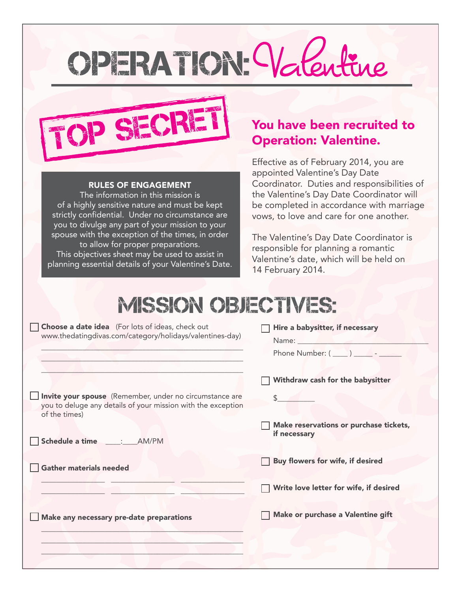# OPERATION: Valeu



#### RULES OF ENGAGEMENT

The information in this mission is of a highly sensitive nature and must be kept strictly confidential. Under no circumstance are you to divulge any part of your mission to your spouse with the exception of the times, in order to allow for proper preparations. This objectives sheet may be used to assist in

planning essential details of your Valentine's Date.

## Operation: Valentine.

Effective as of February 2014, you are appointed Valentine's Day Date Coordinator. Duties and responsibilities of the Valentine's Day Date Coordinator will be completed in accordance with marriage vows, to love and care for one another.

The Valentine's Day Date Coordinator is responsible for planning a romantic Valentine's date, which will be held on 14 February 2014.

### **MISSION OBJECTIVES:**

| <b>Choose a date idea</b> (For lots of ideas, check out<br>www.thedatingdivas.com/category/holidays/valentines-day)                      | Hire a babysitter, if necessary<br>Name: Name and the state of the state of the state of the state of the state of the state of the state of the state of the state of the state of the state of the state of the state of the state of the state of the state of<br>Phone Number: $(\_\_)$ _________ |
|------------------------------------------------------------------------------------------------------------------------------------------|-------------------------------------------------------------------------------------------------------------------------------------------------------------------------------------------------------------------------------------------------------------------------------------------------------|
|                                                                                                                                          | Withdraw cash for the babysitter                                                                                                                                                                                                                                                                      |
| Invite your spouse (Remember, under no circumstance are<br>you to deluge any details of your mission with the exception<br>of the times) |                                                                                                                                                                                                                                                                                                       |
| Schedule a time _____:____AM/PM                                                                                                          | Make reservations or purchase tickets,<br>if necessary                                                                                                                                                                                                                                                |
| <b>Gather materials needed</b>                                                                                                           | Buy flowers for wife, if desired                                                                                                                                                                                                                                                                      |
|                                                                                                                                          | Write love letter for wife, if desired                                                                                                                                                                                                                                                                |
| Make any necessary pre-date preparations                                                                                                 | Make or purchase a Valentine gift                                                                                                                                                                                                                                                                     |
|                                                                                                                                          |                                                                                                                                                                                                                                                                                                       |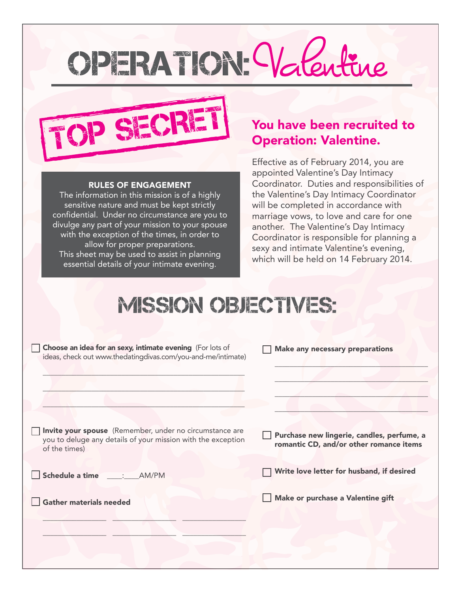# OPERATION: Valen



#### RULES OF ENGAGEMENT

The information in this mission is of a highly sensitive nature and must be kept strictly confidential. Under no circumstance are you to divulge any part of your mission to your spouse with the exception of the times, in order to allow for proper preparations. This sheet may be used to assist in planning essential details of your intimate evening.

## Operation: Valentine.

Effective as of February 2014, you are appointed Valentine's Day Intimacy Coordinator. Duties and responsibilities of the Valentine's Day Intimacy Coordinator will be completed in accordance with marriage vows, to love and care for one another. The Valentine's Day Intimacy Coordinator is responsible for planning a sexy and intimate Valentine's evening, which will be held on 14 February 2014.

### **MISSION OBJECTIVES:**

| Choose an idea for an sexy, intimate evening (For lots of<br>ideas, check out www.thedatingdivas.com/you-and-me/intimate)                | <b>Make any necessary preparations</b>                                                |
|------------------------------------------------------------------------------------------------------------------------------------------|---------------------------------------------------------------------------------------|
| Invite your spouse (Remember, under no circumstance are<br>you to deluge any details of your mission with the exception<br>of the times) | Purchase new lingerie, candles, perfume, a<br>romantic CD, and/or other romance items |
| Schedule a time : AM/PM                                                                                                                  | Write love letter for husband, if desired                                             |
| <b>Gather materials needed</b>                                                                                                           | Make or purchase a Valentine gift                                                     |
|                                                                                                                                          |                                                                                       |
|                                                                                                                                          |                                                                                       |